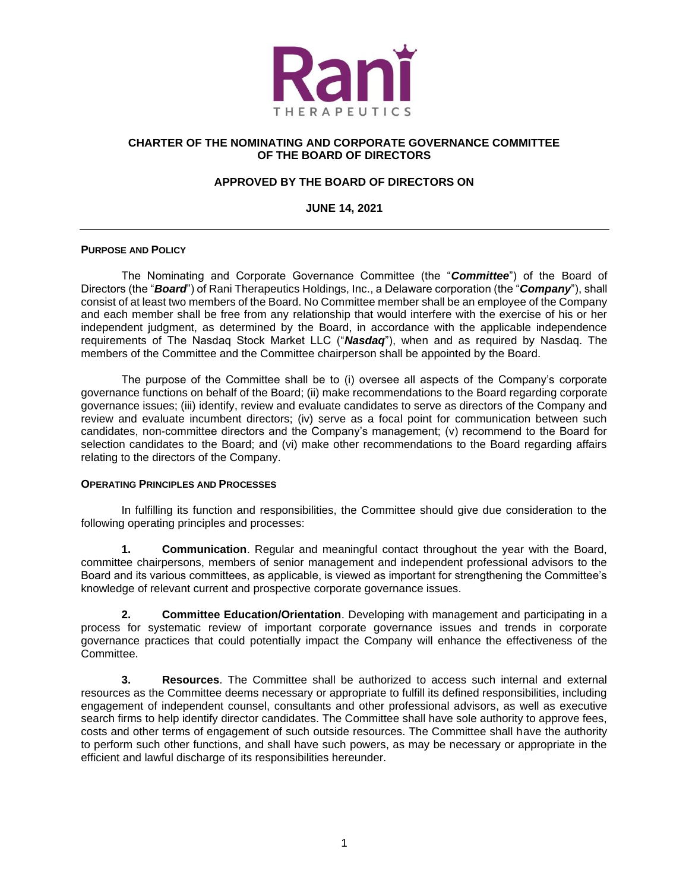

## **CHARTER OF THE NOMINATING AND CORPORATE GOVERNANCE COMMITTEE OF THE BOARD OF DIRECTORS**

# **APPROVED BY THE BOARD OF DIRECTORS ON**

**JUNE 14, 2021**

### **PURPOSE AND POLICY**

The Nominating and Corporate Governance Committee (the "*Committee*") of the Board of Directors (the "*Board*") of Rani Therapeutics Holdings, Inc., a Delaware corporation (the "*Company*"), shall consist of at least two members of the Board. No Committee member shall be an employee of the Company and each member shall be free from any relationship that would interfere with the exercise of his or her independent judgment, as determined by the Board, in accordance with the applicable independence requirements of The Nasdaq Stock Market LLC ("*Nasdaq*"), when and as required by Nasdaq. The members of the Committee and the Committee chairperson shall be appointed by the Board.

The purpose of the Committee shall be to (i) oversee all aspects of the Company's corporate governance functions on behalf of the Board; (ii) make recommendations to the Board regarding corporate governance issues; (iii) identify, review and evaluate candidates to serve as directors of the Company and review and evaluate incumbent directors; (iv) serve as a focal point for communication between such candidates, non-committee directors and the Company's management; (v) recommend to the Board for selection candidates to the Board; and (vi) make other recommendations to the Board regarding affairs relating to the directors of the Company.

#### **OPERATING PRINCIPLES AND PROCESSES**

In fulfilling its function and responsibilities, the Committee should give due consideration to the following operating principles and processes:

**1. Communication**. Regular and meaningful contact throughout the year with the Board, committee chairpersons, members of senior management and independent professional advisors to the Board and its various committees, as applicable, is viewed as important for strengthening the Committee's knowledge of relevant current and prospective corporate governance issues.

**2. Committee Education/Orientation**. Developing with management and participating in a process for systematic review of important corporate governance issues and trends in corporate governance practices that could potentially impact the Company will enhance the effectiveness of the Committee.

**3. Resources**. The Committee shall be authorized to access such internal and external resources as the Committee deems necessary or appropriate to fulfill its defined responsibilities, including engagement of independent counsel, consultants and other professional advisors, as well as executive search firms to help identify director candidates. The Committee shall have sole authority to approve fees, costs and other terms of engagement of such outside resources. The Committee shall have the authority to perform such other functions, and shall have such powers, as may be necessary or appropriate in the efficient and lawful discharge of its responsibilities hereunder.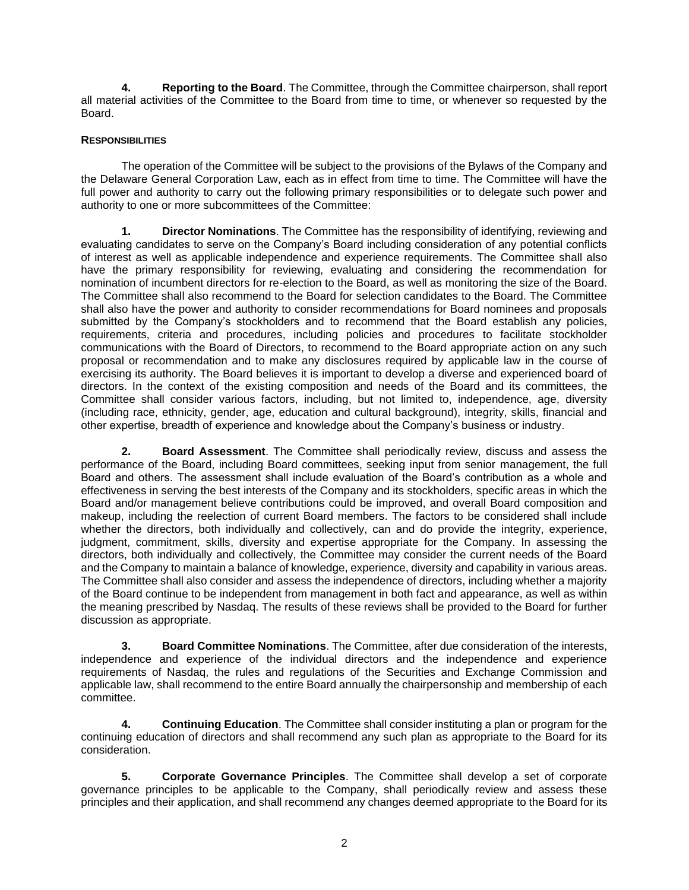**4. Reporting to the Board**. The Committee, through the Committee chairperson, shall report all material activities of the Committee to the Board from time to time, or whenever so requested by the Board.

## **RESPONSIBILITIES**

The operation of the Committee will be subject to the provisions of the Bylaws of the Company and the Delaware General Corporation Law, each as in effect from time to time. The Committee will have the full power and authority to carry out the following primary responsibilities or to delegate such power and authority to one or more subcommittees of the Committee:

**1. Director Nominations**. The Committee has the responsibility of identifying, reviewing and evaluating candidates to serve on the Company's Board including consideration of any potential conflicts of interest as well as applicable independence and experience requirements. The Committee shall also have the primary responsibility for reviewing, evaluating and considering the recommendation for nomination of incumbent directors for re-election to the Board, as well as monitoring the size of the Board. The Committee shall also recommend to the Board for selection candidates to the Board. The Committee shall also have the power and authority to consider recommendations for Board nominees and proposals submitted by the Company's stockholders and to recommend that the Board establish any policies, requirements, criteria and procedures, including policies and procedures to facilitate stockholder communications with the Board of Directors, to recommend to the Board appropriate action on any such proposal or recommendation and to make any disclosures required by applicable law in the course of exercising its authority. The Board believes it is important to develop a diverse and experienced board of directors. In the context of the existing composition and needs of the Board and its committees, the Committee shall consider various factors, including, but not limited to, independence, age, diversity (including race, ethnicity, gender, age, education and cultural background), integrity, skills, financial and other expertise, breadth of experience and knowledge about the Company's business or industry.

**2. Board Assessment**. The Committee shall periodically review, discuss and assess the performance of the Board, including Board committees, seeking input from senior management, the full Board and others. The assessment shall include evaluation of the Board's contribution as a whole and effectiveness in serving the best interests of the Company and its stockholders, specific areas in which the Board and/or management believe contributions could be improved, and overall Board composition and makeup, including the reelection of current Board members. The factors to be considered shall include whether the directors, both individually and collectively, can and do provide the integrity, experience, judgment, commitment, skills, diversity and expertise appropriate for the Company. In assessing the directors, both individually and collectively, the Committee may consider the current needs of the Board and the Company to maintain a balance of knowledge, experience, diversity and capability in various areas. The Committee shall also consider and assess the independence of directors, including whether a majority of the Board continue to be independent from management in both fact and appearance, as well as within the meaning prescribed by Nasdaq. The results of these reviews shall be provided to the Board for further discussion as appropriate.

**3. Board Committee Nominations**. The Committee, after due consideration of the interests, independence and experience of the individual directors and the independence and experience requirements of Nasdaq, the rules and regulations of the Securities and Exchange Commission and applicable law, shall recommend to the entire Board annually the chairpersonship and membership of each committee.

**4. Continuing Education**. The Committee shall consider instituting a plan or program for the continuing education of directors and shall recommend any such plan as appropriate to the Board for its consideration.

**5. Corporate Governance Principles**. The Committee shall develop a set of corporate governance principles to be applicable to the Company, shall periodically review and assess these principles and their application, and shall recommend any changes deemed appropriate to the Board for its